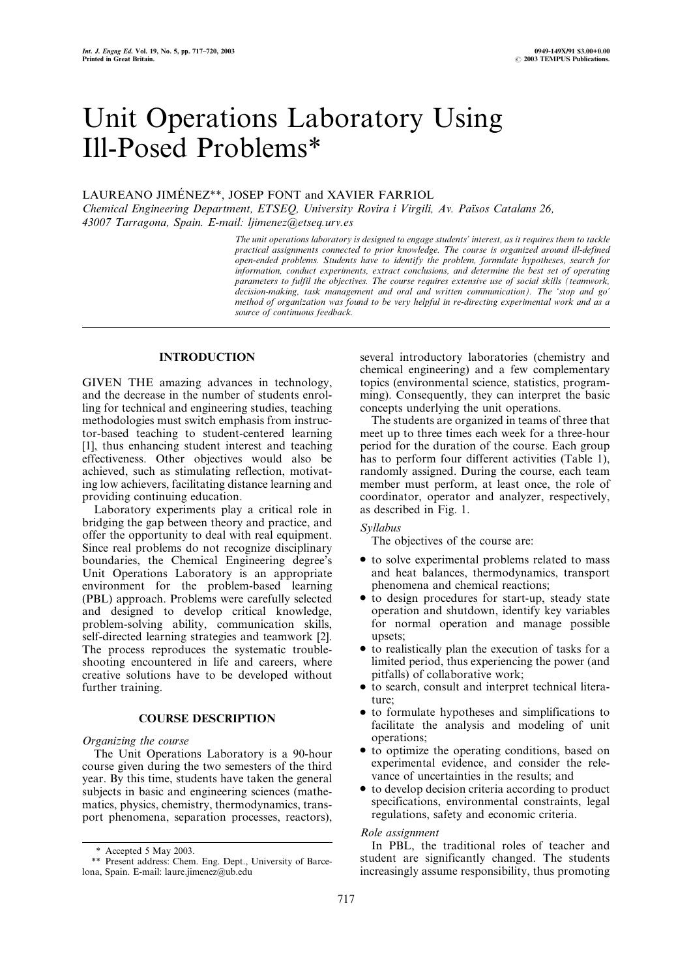# Unit Operations Laboratory Using Ill-Posed Problems\*

# LAUREANO JIMÉNEZ\*\*, JOSEP FONT and XAVIER FARRIOL

Chemical Engineering Department, ETSEQ, University Rovira i Virgili, Av. Països Catalans 26, 43007 Tarragona, Spain. E-mail: ljimenez@etseq.urv.es

> The unit operations laboratory is designed to engage students' interest, as it requires them to tackle practical assignments connected to prior knowledge. The course is organized around ill-defined open-ended problems. Students have to identify the problem, formulate hypotheses, search for information, conduct experiments, extract conclusions, and determine the best set of operating parameters to fulfil the objectives. The course requires extensive use of social skills (teamwork, decision-making, task management and oral and written communication). The 'stop and go' method of organization was found to be very helpful in re-directing experimental work and as a source of continuous feedback.

## INTRODUCTION

GIVEN THE amazing advances in technology, and the decrease in the number of students enrolling for technical and engineering studies, teaching methodologies must switch emphasis from instructor-based teaching to student-centered learning [1], thus enhancing student interest and teaching effectiveness. Other objectives would also be achieved, such as stimulating reflection, motivating low achievers, facilitating distance learning and providing continuing education.

Laboratory experiments play a critical role in bridging the gap between theory and practice, and offer the opportunity to deal with real equipment. Since real problems do not recognize disciplinary boundaries, the Chemical Engineering degree's Unit Operations Laboratory is an appropriate environment for the problem-based learning (PBL) approach. Problems were carefully selected and designed to develop critical knowledge, problem-solving ability, communication skills, self-directed learning strategies and teamwork [2]. The process reproduces the systematic troubleshooting encountered in life and careers, where creative solutions have to be developed without further training.

## COURSE DESCRIPTION

## Organizing the course

The Unit Operations Laboratory is a 90-hour course given during the two semesters of the third year. By this time, students have taken the general subjects in basic and engineering sciences (mathematics, physics, chemistry, thermodynamics, transport phenomena, separation processes, reactors), several introductory laboratories (chemistry and chemical engineering) and a few complementary topics (environmental science, statistics, programming). Consequently, they can interpret the basic concepts underlying the unit operations.

The students are organized in teams of three that meet up to three times each week for a three-hour period for the duration of the course. Each group has to perform four different activities (Table 1), randomly assigned. During the course, each team member must perform, at least once, the role of coordinator, operator and analyzer, respectively, as described in Fig. 1.

# Syllabus

The objectives of the course are:

- . to solve experimental problems related to mass and heat balances, thermodynamics, transport phenomena and chemical reactions;
- to design procedures for start-up, steady state operation and shutdown, identify key variables for normal operation and manage possible upsets;
- to realistically plan the execution of tasks for a limited period, thus experiencing the power (and pitfalls) of collaborative work;
- . to search, consult and interpret technical literature;
- to formulate hypotheses and simplifications to facilitate the analysis and modeling of unit operations;
- to optimize the operating conditions, based on experimental evidence, and consider the relevance of uncertainties in the results; and
- . to develop decision criteria according to product specifications, environmental constraints, legal regulations, safety and economic criteria.

## Role assignment

In PBL, the traditional roles of teacher and student are significantly changed. The students increasingly assume responsibility, thus promoting

<sup>\*</sup> Accepted 5 May 2003.

<sup>\*\*</sup> Present address: Chem. Eng. Dept., University of Barcelona, Spain. E-mail: laure.jimenez@ub.edu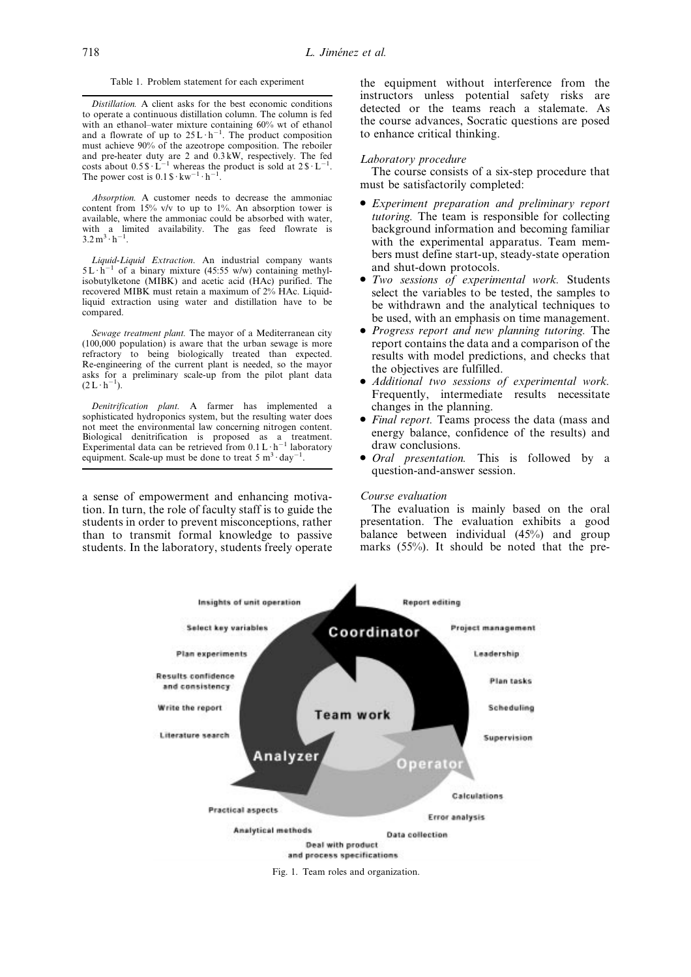Distillation. A client asks for the best economic conditions to operate a continuous distillation column. The column is fed with an ethanol-water mixture containing  $60\%$  wt of ethanol and a flowrate of up to  $25 L \cdot h^{-1}$ . The product composition must achieve 90% of the azeotrope composition. The reboiler and pre-heater duty are 2 and 0.3 kW, respectively. The fed costs about  $0.5 \text{ s} \cdot \text{L}^{-1}$  whereas the product is sold at  $2 \text{ s} \cdot \text{L}^{-1}$ . The power cost is  $0.1 \text{ s} \cdot \text{kw}^{-1} \cdot \text{h}^{-1}$ .

Absorption. A customer needs to decrease the ammoniac content from 15% v/v to up to 1%. An absorption tower is available, where the ammoniac could be absorbed with water, with a limited availability. The gas feed flowrate is  $3.2 \text{ m}^3 \cdot \text{h}^{-1}$ .

Liquid-Liquid Extraction. An industrial company wants  $5L \cdot \hat{h}^{-1}$  of a binary mixture (45:55 w/w) containing methylisobutylketone (MIBK) and acetic acid (HAc) purified. The recovered MIBK must retain a maximum of 2% HAc. Liquidliquid extraction using water and distillation have to be compared.

Sewage treatment plant. The mayor of a Mediterranean city (100,000 population) is aware that the urban sewage is more refractory to being biologically treated than expected. Re-engineering of the current plant is needed, so the mayor asks for a preliminary scale-up from the pilot plant data  $(2L \cdot h^{-1})$ .

Denitrification plant. A farmer has implemented a sophisticated hydroponics system, but the resulting water does not meet the environmental law concerning nitrogen content. Biological denitrification is proposed as a treatment.<br>Experimental data can be retrieved from  $0.1 \, \text{L} \cdot \text{h}^{-1}$  laboratory equipment. Scale-up must be done to treat  $5 \text{ m}^3 \cdot \text{day}^-$ .

a sense of empowerment and enhancing motivation. In turn, the role of faculty staff is to guide the students in order to prevent misconceptions, rather than to transmit formal knowledge to passive students. In the laboratory, students freely operate the equipment without interference from the instructors unless potential safety risks are detected or the teams reach a stalemate. As the course advances, Socratic questions are posed to enhance critical thinking.

#### Laboratory procedure

The course consists of a six-step procedure that must be satisfactorily completed:

- . Experiment preparation and preliminary report tutoring. The team is responsible for collecting background information and becoming familiar with the experimental apparatus. Team members must define start-up, steady-state operation and shut-down protocols.
- . Two sessions of experimental work. Students select the variables to be tested, the samples to be withdrawn and the analytical techniques to be used, with an emphasis on time management.
- . Progress report and new planning tutoring. The report contains the data and a comparison of the results with model predictions, and checks that the objectives are fulfilled.
- . Additional two sessions of experimental work. Frequently, intermediate results necessitate changes in the planning.
- . Final report. Teams process the data (mass and energy balance, confidence of the results) and draw conclusions.
- Oral presentation. This is followed by a question-and-answer session.

#### Course evaluation

The evaluation is mainly based on the oral presentation. The evaluation exhibits a good balance between individual (45%) and group marks (55%). It should be noted that the pre-

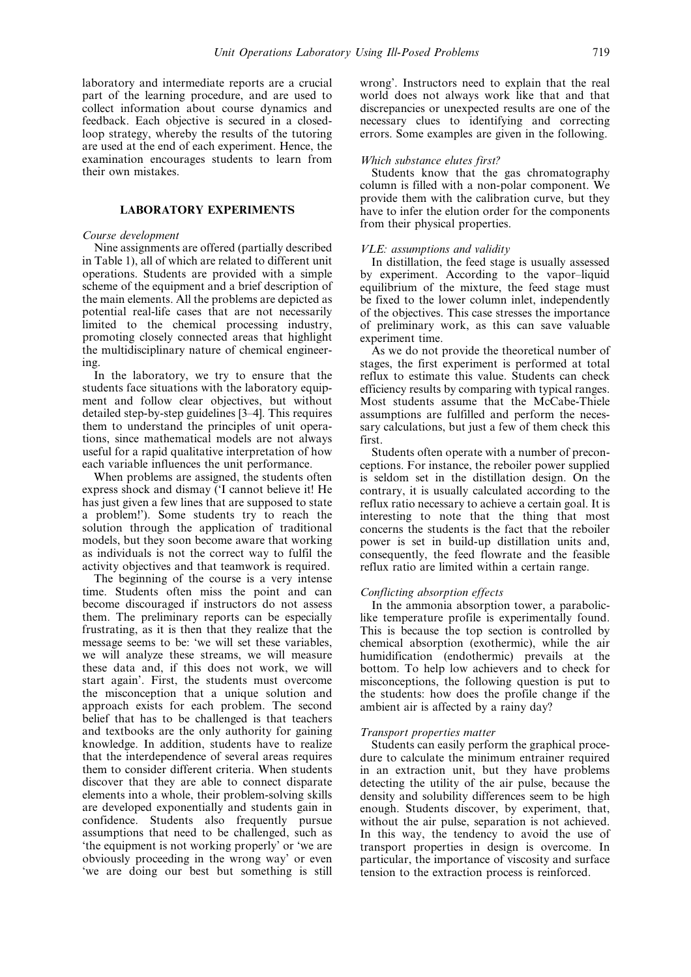laboratory and intermediate reports are a crucial part of the learning procedure, and are used to collect information about course dynamics and feedback. Each objective is secured in a closedloop strategy, whereby the results of the tutoring are used at the end of each experiment. Hence, the examination encourages students to learn from their own mistakes.

# LABORATORY EXPERIMENTS

#### Course development

Nine assignments are offered (partially described in Table 1), all of which are related to different unit operations. Students are provided with a simple scheme of the equipment and a brief description of the main elements. All the problems are depicted as potential real-life cases that are not necessarily limited to the chemical processing industry, promoting closely connected areas that highlight the multidisciplinary nature of chemical engineering.

In the laboratory, we try to ensure that the students face situations with the laboratory equipment and follow clear objectives, but without detailed step-by-step guidelines [3–4]. This requires them to understand the principles of unit operations, since mathematical models are not always useful for a rapid qualitative interpretation of how each variable influences the unit performance.

When problems are assigned, the students often express shock and dismay (`I cannot believe it! He has just given a few lines that are supposed to state a problem!'). Some students try to reach the solution through the application of traditional models, but they soon become aware that working as individuals is not the correct way to fulfil the activity objectives and that teamwork is required.

The beginning of the course is a very intense time. Students often miss the point and can become discouraged if instructors do not assess them. The preliminary reports can be especially frustrating, as it is then that they realize that the message seems to be: 'we will set these variables, we will analyze these streams, we will measure these data and, if this does not work, we will start again'. First, the students must overcome the misconception that a unique solution and approach exists for each problem. The second belief that has to be challenged is that teachers and textbooks are the only authority for gaining knowledge. In addition, students have to realize that the interdependence of several areas requires them to consider different criteria. When students discover that they are able to connect disparate elements into a whole, their problem-solving skills are developed exponentially and students gain in confidence. Students also frequently pursue assumptions that need to be challenged, such as `the equipment is not working properly' or `we are obviously proceeding in the wrong way' or even `we are doing our best but something is still

wrong'. Instructors need to explain that the real world does not always work like that and that discrepancies or unexpected results are one of the necessary clues to identifying and correcting errors. Some examples are given in the following.

#### Which substance elutes first?

Students know that the gas chromatography column is filled with a non-polar component. We provide them with the calibration curve, but they have to infer the elution order for the components from their physical properties.

#### VLE: assumptions and validity

In distillation, the feed stage is usually assessed by experiment. According to the vapor-liquid equilibrium of the mixture, the feed stage must be fixed to the lower column inlet, independently of the objectives. This case stresses the importance of preliminary work, as this can save valuable experiment time.

As we do not provide the theoretical number of stages, the first experiment is performed at total reflux to estimate this value. Students can check efficiency results by comparing with typical ranges. Most students assume that the McCabe-Thiele assumptions are fulfilled and perform the necessary calculations, but just a few of them check this first.

Students often operate with a number of preconceptions. For instance, the reboiler power supplied is seldom set in the distillation design. On the contrary, it is usually calculated according to the reflux ratio necessary to achieve a certain goal. It is interesting to note that the thing that most concerns the students is the fact that the reboiler power is set in build-up distillation units and, consequently, the feed flowrate and the feasible reflux ratio are limited within a certain range.

#### Conflicting absorption effects

In the ammonia absorption tower, a paraboliclike temperature profile is experimentally found. This is because the top section is controlled by chemical absorption (exothermic), while the air humidification (endothermic) prevails at the bottom. To help low achievers and to check for misconceptions, the following question is put to the students: how does the profile change if the ambient air is affected by a rainy day?

#### Transport properties matter

Students can easily perform the graphical procedure to calculate the minimum entrainer required in an extraction unit, but they have problems detecting the utility of the air pulse, because the density and solubility differences seem to be high enough. Students discover, by experiment, that, without the air pulse, separation is not achieved. In this way, the tendency to avoid the use of transport properties in design is overcome. In particular, the importance of viscosity and surface tension to the extraction process is reinforced.